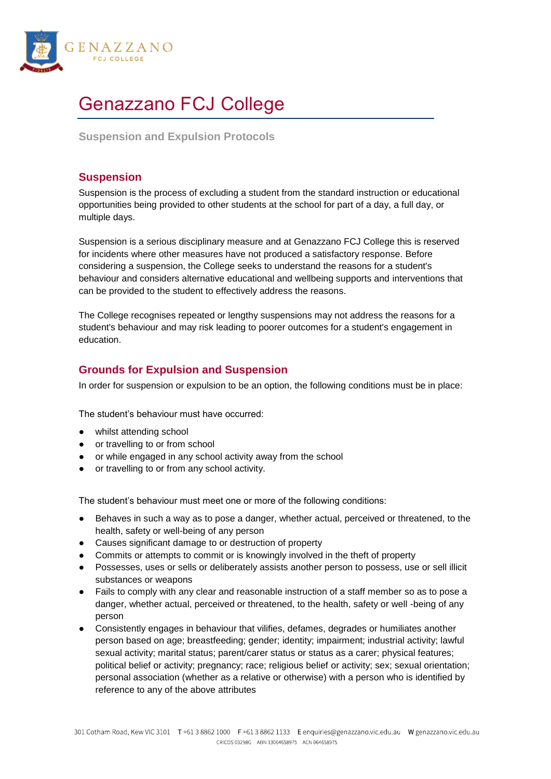

# Genazzano FCJ College

**Suspension and Expulsion Protocols**

## **Suspension**

Suspension is the process of excluding a student from the standard instruction or educational opportunities being provided to other students at the school for part of a day, a full day, or multiple days.

Suspension is a serious disciplinary measure and at Genazzano FCJ College this is reserved for incidents where other measures have not produced a satisfactory response. Before considering a suspension, the College seeks to understand the reasons for a student's behaviour and considers alternative educational and wellbeing supports and interventions that can be provided to the student to effectively address the reasons.

The College recognises repeated or lengthy suspensions may not address the reasons for a student's behaviour and may risk leading to poorer outcomes for a student's engagement in education.

# **Grounds for Expulsion and Suspension**

In order for suspension or expulsion to be an option, the following conditions must be in place:

The student's behaviour must have occurred:

- whilst attending school
- or travelling to or from school
- or while engaged in any school activity away from the school
- or travelling to or from any school activity.

The student's behaviour must meet one or more of the following conditions:

- Behaves in such a way as to pose a danger, whether actual, perceived or threatened, to the health, safety or well-being of any person
- Causes significant damage to or destruction of property
- Commits or attempts to commit or is knowingly involved in the theft of property
- Possesses, uses or sells or deliberately assists another person to possess, use or sell illicit substances or weapons
- Fails to comply with any clear and reasonable instruction of a staff member so as to pose a danger, whether actual, perceived or threatened, to the health, safety or well -being of any person
- Consistently engages in behaviour that vilifies, defames, degrades or humiliates another person based on age; breastfeeding; gender; identity; impairment; industrial activity; lawful sexual activity; marital status; parent/carer status or status as a carer; physical features; political belief or activity; pregnancy; race; religious belief or activity; sex; sexual orientation; personal association (whether as a relative or otherwise) with a person who is identified by reference to any of the above attributes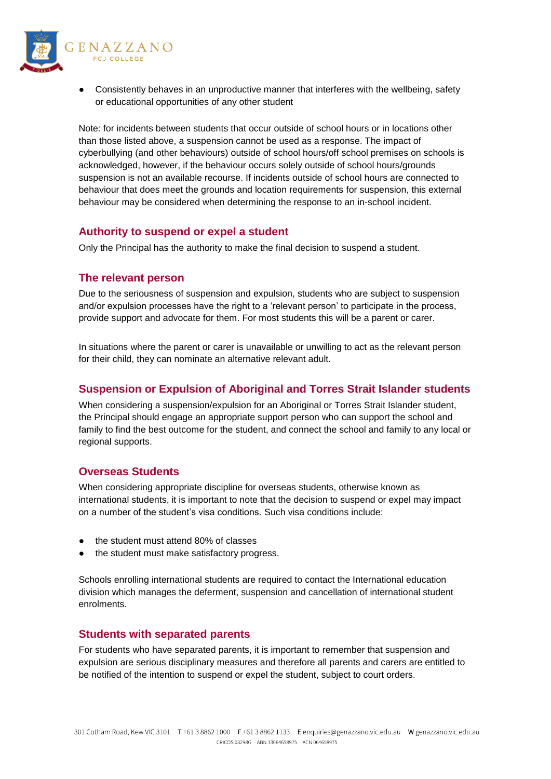

• Consistently behaves in an unproductive manner that interferes with the wellbeing, safety or educational opportunities of any other student

Note: for incidents between students that occur outside of school hours or in locations other than those listed above, a suspension cannot be used as a response. The impact of cyberbullying (and other behaviours) outside of school hours/off school premises on schools is acknowledged, however, if the behaviour occurs solely outside of school hours/grounds suspension is not an available recourse. If incidents outside of school hours are connected to behaviour that does meet the grounds and location requirements for suspension, this external behaviour may be considered when determining the response to an in-school incident.

## **Authority to suspend or expel a student**

Only the Principal has the authority to make the final decision to suspend a student.

#### **The relevant person**

Due to the seriousness of suspension and expulsion, students who are subject to suspension and/or expulsion processes have the right to a 'relevant person' to participate in the process, provide support and advocate for them. For most students this will be a parent or carer.

In situations where the parent or carer is unavailable or unwilling to act as the relevant person for their child, they can nominate an alternative relevant adult.

#### **Suspension or Expulsion of Aboriginal and Torres Strait Islander students**

When considering a suspension/expulsion for an Aboriginal or Torres Strait Islander student, the Principal should engage an appropriate support person who can support the school and family to find the best outcome for the student, and connect the school and family to any local or regional supports.

#### **Overseas Students**

When considering appropriate discipline for overseas students, otherwise known as international students, it is important to note that the decision to suspend or expel may impact on a number of the student's visa conditions. Such visa conditions include:

- the student must attend 80% of classes
- the student must make satisfactory progress.

Schools enrolling international students are required to contact the International education division which manages the deferment, suspension and cancellation of international student enrolments.

#### **Students with separated parents**

For students who have separated parents, it is important to remember that suspension and expulsion are serious disciplinary measures and therefore all parents and carers are entitled to be notified of the intention to suspend or expel the student, subject to court orders.